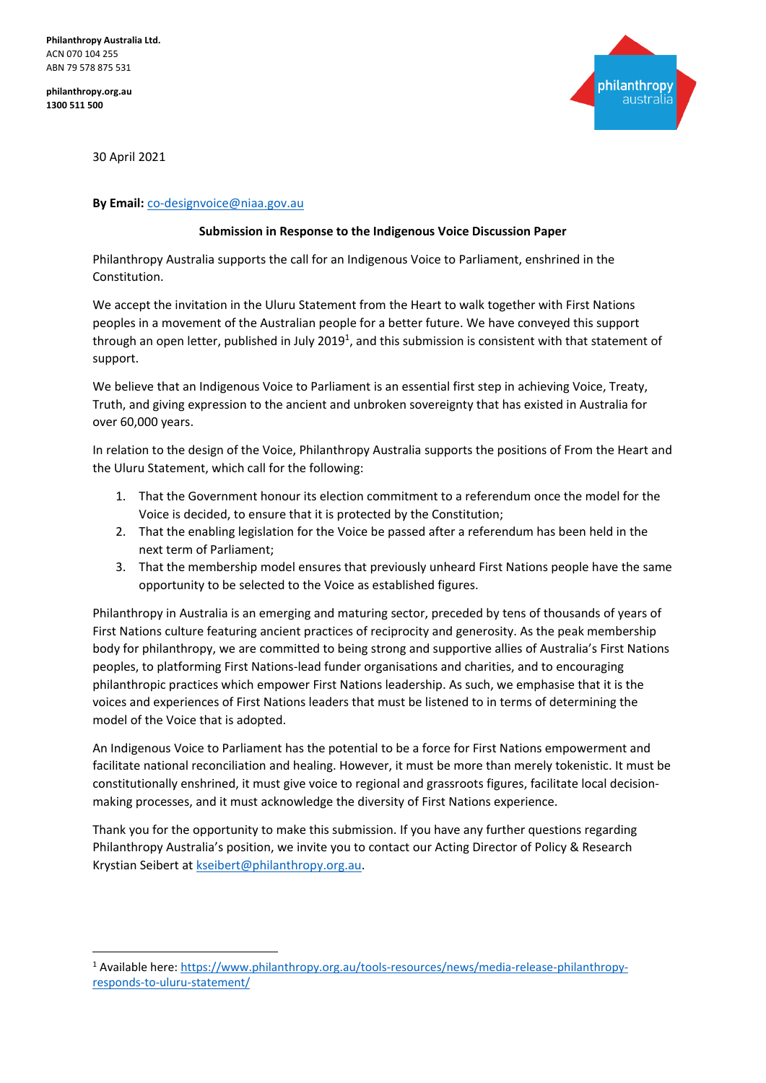**Philanthropy Australia Ltd.** ACN 070 104 255 ABN 79 578 875 531

**philanthropy.org.au 1300 511 500**



30 April 2021

## **By Email:** [co-designvoice@niaa.gov.au](mailto:co-designvoice@niaa.gov.au)

## **Submission in Response to the Indigenous Voice Discussion Paper**

Philanthropy Australia supports the call for an Indigenous Voice to Parliament, enshrined in the Constitution.

We accept the invitation in the Uluru Statement from the Heart to walk together with First Nations peoples in a movement of the Australian people for a better future. We have conveyed this support through an open letter, published in July 2019<sup>1</sup>, and this submission is consistent with that statement of support.

We believe that an Indigenous Voice to Parliament is an essential first step in achieving Voice, Treaty, Truth, and giving expression to the ancient and unbroken sovereignty that has existed in Australia for over 60,000 years.

In relation to the design of the Voice, Philanthropy Australia supports the positions of From the Heart and the Uluru Statement, which call for the following:

- 1. That the Government honour its election commitment to a referendum once the model for the Voice is decided, to ensure that it is protected by the Constitution;
- 2. That the enabling legislation for the Voice be passed after a referendum has been held in the next term of Parliament;
- 3. That the membership model ensures that previously unheard First Nations people have the same opportunity to be selected to the Voice as established figures.

Philanthropy in Australia is an emerging and maturing sector, preceded by tens of thousands of years of First Nations culture featuring ancient practices of reciprocity and generosity. As the peak membership body for philanthropy, we are committed to being strong and supportive allies of Australia's First Nations peoples, to platforming First Nations-lead funder organisations and charities, and to encouraging philanthropic practices which empower First Nations leadership. As such, we emphasise that it is the voices and experiences of First Nations leaders that must be listened to in terms of determining the model of the Voice that is adopted.

An Indigenous Voice to Parliament has the potential to be a force for First Nations empowerment and facilitate national reconciliation and healing. However, it must be more than merely tokenistic. It must be constitutionally enshrined, it must give voice to regional and grassroots figures, facilitate local decisionmaking processes, and it must acknowledge the diversity of First Nations experience.

Thank you for the opportunity to make this submission. If you have any further questions regarding Philanthropy Australia's position, we invite you to contact our Acting Director of Policy & Research Krystian Seibert a[t kseibert@philanthropy.org.au.](mailto:kseibert@philanthropy.org.au)

<sup>&</sup>lt;sup>1</sup> Available here[: https://www.philanthropy.org.au/tools-resources/news/media-release-philanthropy](https://www.philanthropy.org.au/tools-resources/news/media-release-philanthropy-responds-to-uluru-statement/)[responds-to-uluru-statement/](https://www.philanthropy.org.au/tools-resources/news/media-release-philanthropy-responds-to-uluru-statement/)